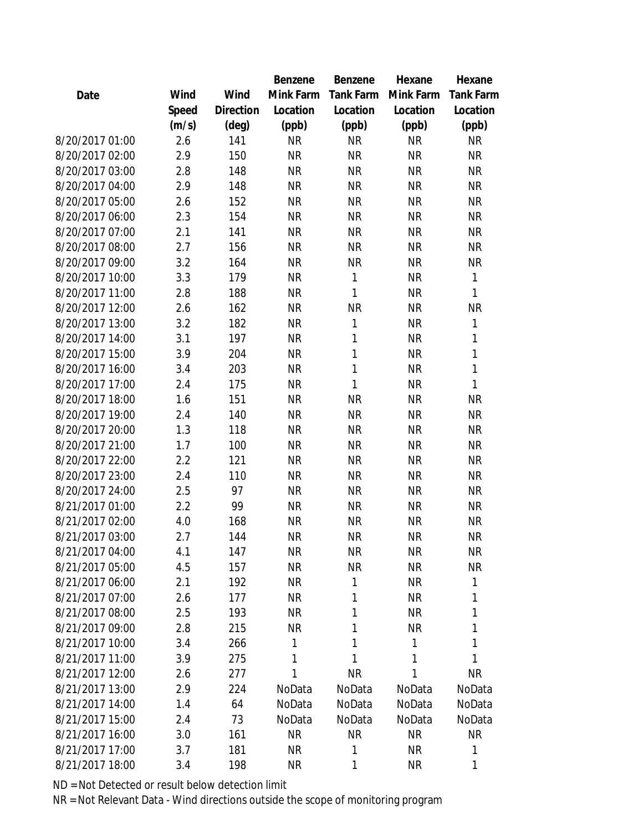|                 |       |                | Benzene   | Benzene      | Hexane    | Hexane           |
|-----------------|-------|----------------|-----------|--------------|-----------|------------------|
| Date            | Wind  | Wind           | Mink Farm | Tank Farm    | Mink Farm | <b>Tank Farm</b> |
|                 | Speed | Direction      | Location  | Location     | Location  | Location         |
|                 | (m/s) | $(\text{deg})$ | (ppb)     | (ppb)        | (ppb)     | (ppb)            |
| 8/20/2017 01:00 | 2.6   | 141            | <b>NR</b> | <b>NR</b>    | <b>NR</b> | <b>NR</b>        |
| 8/20/2017 02:00 | 2.9   | 150            | <b>NR</b> | <b>NR</b>    | <b>NR</b> | <b>NR</b>        |
| 8/20/2017 03:00 | 2.8   | 148            | <b>NR</b> | <b>NR</b>    | <b>NR</b> | <b>NR</b>        |
| 8/20/2017 04:00 | 2.9   | 148            | <b>NR</b> | <b>NR</b>    | <b>NR</b> | <b>NR</b>        |
| 8/20/2017 05:00 | 2.6   | 152            | <b>NR</b> | <b>NR</b>    | <b>NR</b> | <b>NR</b>        |
| 8/20/2017 06:00 | 2.3   | 154            | <b>NR</b> | <b>NR</b>    | <b>NR</b> | <b>NR</b>        |
| 8/20/2017 07:00 | 2.1   | 141            | <b>NR</b> | <b>NR</b>    | <b>NR</b> | <b>NR</b>        |
| 8/20/2017 08:00 | 2.7   | 156            | <b>NR</b> | <b>NR</b>    | <b>NR</b> | <b>NR</b>        |
| 8/20/2017 09:00 | 3.2   | 164            | <b>NR</b> | <b>NR</b>    | <b>NR</b> | <b>NR</b>        |
| 8/20/2017 10:00 | 3.3   | 179            | <b>NR</b> | 1            | <b>NR</b> | 1                |
| 8/20/2017 11:00 | 2.8   | 188            | <b>NR</b> | $\mathbf{1}$ | <b>NR</b> | 1                |
| 8/20/2017 12:00 | 2.6   | 162            | <b>NR</b> | <b>NR</b>    | <b>NR</b> | <b>NR</b>        |
| 8/20/2017 13:00 | 3.2   | 182            | <b>NR</b> | $\mathbf{1}$ | <b>NR</b> | 1                |
| 8/20/2017 14:00 | 3.1   | 197            | <b>NR</b> | 1            | <b>NR</b> | 1                |
| 8/20/2017 15:00 | 3.9   | 204            | <b>NR</b> | 1            | <b>NR</b> | 1                |
| 8/20/2017 16:00 | 3.4   | 203            | <b>NR</b> | $\mathbf{1}$ | <b>NR</b> | 1                |
| 8/20/2017 17:00 | 2.4   | 175            | <b>NR</b> | 1            | <b>NR</b> | 1                |
| 8/20/2017 18:00 | 1.6   | 151            | <b>NR</b> | <b>NR</b>    | <b>NR</b> | <b>NR</b>        |
| 8/20/2017 19:00 | 2.4   | 140            | <b>NR</b> | <b>NR</b>    | <b>NR</b> | <b>NR</b>        |
| 8/20/2017 20:00 | 1.3   | 118            | <b>NR</b> | <b>NR</b>    | <b>NR</b> | <b>NR</b>        |
| 8/20/2017 21:00 | 1.7   | 100            | <b>NR</b> | <b>NR</b>    | <b>NR</b> | NR               |
| 8/20/2017 22:00 | 2.2   | 121            | <b>NR</b> | <b>NR</b>    | <b>NR</b> | <b>NR</b>        |
| 8/20/2017 23:00 | 2.4   | 110            | <b>NR</b> | <b>NR</b>    | <b>NR</b> | <b>NR</b>        |
| 8/20/2017 24:00 | 2.5   | 97             | <b>NR</b> | <b>NR</b>    | <b>NR</b> | <b>NR</b>        |
| 8/21/2017 01:00 | 2.2   | 99             | <b>NR</b> | <b>NR</b>    | <b>NR</b> | <b>NR</b>        |
| 8/21/2017 02:00 | 4.0   | 168            | <b>NR</b> | <b>NR</b>    | <b>NR</b> | <b>NR</b>        |
| 8/21/2017 03:00 | 2.7   | 144            | <b>NR</b> | <b>NR</b>    | <b>NR</b> | <b>NR</b>        |
| 8/21/2017 04:00 | 4.1   | 147            | <b>NR</b> | <b>NR</b>    | <b>NR</b> | NR               |
| 8/21/2017 05:00 | 4.5   | 157            | <b>NR</b> | <b>NR</b>    | <b>NR</b> | <b>NR</b>        |
| 8/21/2017 06:00 | 2.1   | 192            | <b>NR</b> | 1            | <b>NR</b> | 1                |
| 8/21/2017 07:00 | 2.6   | 177            | <b>NR</b> | 1            | <b>NR</b> | 1                |
| 8/21/2017 08:00 | 2.5   | 193            | <b>NR</b> | 1            | <b>NR</b> | 1                |
| 8/21/2017 09:00 | 2.8   | 215            | <b>NR</b> | 1            | <b>NR</b> | 1                |
| 8/21/2017 10:00 | 3.4   | 266            | 1         | 1            | 1         | 1                |
| 8/21/2017 11:00 | 3.9   | 275            | 1         | 1            | 1         | 1                |
| 8/21/2017 12:00 | 2.6   | 277            | 1         | <b>NR</b>    | 1         | NR               |
| 8/21/2017 13:00 | 2.9   | 224            | NoData    | NoData       | NoData    | NoData           |
| 8/21/2017 14:00 | 1.4   | 64             | NoData    | NoData       | NoData    | NoData           |
| 8/21/2017 15:00 | 2.4   | 73             | NoData    | NoData       | NoData    | NoData           |
| 8/21/2017 16:00 | 3.0   | 161            | <b>NR</b> | <b>NR</b>    | <b>NR</b> | <b>NR</b>        |
| 8/21/2017 17:00 | 3.7   | 181            | <b>NR</b> | 1            | <b>NR</b> | 1                |
| 8/21/2017 18:00 | 3.4   | 198            | <b>NR</b> | 1            | <b>NR</b> | 1                |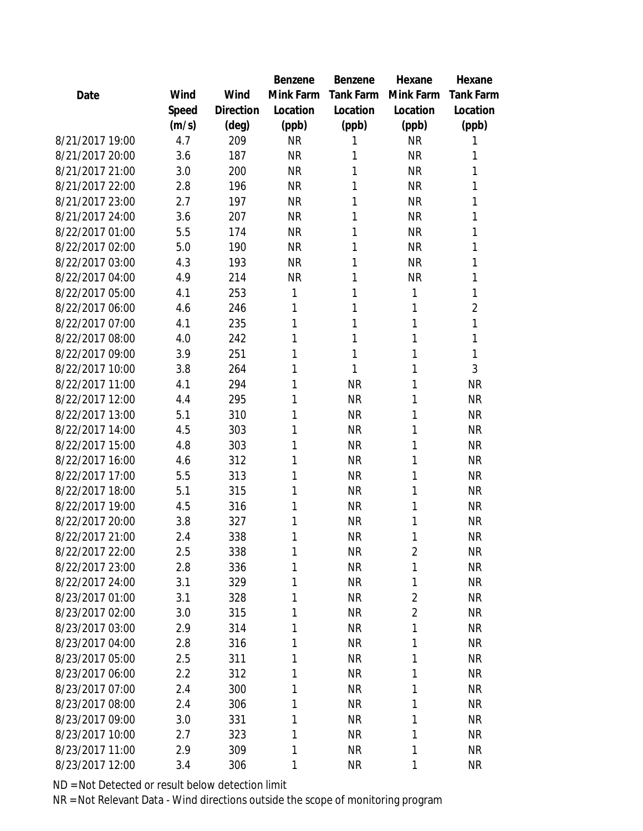|                 |       |                | Benzene   | Benzene   | Hexane         | Hexane           |
|-----------------|-------|----------------|-----------|-----------|----------------|------------------|
| Date            | Wind  | Wind           | Mink Farm | Tank Farm | Mink Farm      | <b>Tank Farm</b> |
|                 | Speed | Direction      | Location  | Location  | Location       | Location         |
|                 | (m/s) | $(\text{deg})$ | (ppb)     | (ppb)     | (ppb)          | (ppb)            |
| 8/21/2017 19:00 | 4.7   | 209            | <b>NR</b> | 1         | <b>NR</b>      | 1                |
| 8/21/2017 20:00 | 3.6   | 187            | <b>NR</b> | 1         | <b>NR</b>      | 1                |
| 8/21/2017 21:00 | 3.0   | 200            | <b>NR</b> | 1         | <b>NR</b>      | 1                |
| 8/21/2017 22:00 | 2.8   | 196            | <b>NR</b> | 1         | <b>NR</b>      | 1                |
| 8/21/2017 23:00 | 2.7   | 197            | <b>NR</b> | 1         | <b>NR</b>      | 1                |
| 8/21/2017 24:00 | 3.6   | 207            | <b>NR</b> | 1         | <b>NR</b>      | 1                |
| 8/22/2017 01:00 | 5.5   | 174            | <b>NR</b> | 1         | <b>NR</b>      | 1                |
| 8/22/2017 02:00 | 5.0   | 190            | <b>NR</b> | 1         | <b>NR</b>      | 1                |
| 8/22/2017 03:00 | 4.3   | 193            | <b>NR</b> | 1         | <b>NR</b>      | 1                |
| 8/22/2017 04:00 | 4.9   | 214            | <b>NR</b> | 1         | <b>NR</b>      | 1                |
| 8/22/2017 05:00 | 4.1   | 253            | 1         | 1         | 1              | 1                |
| 8/22/2017 06:00 | 4.6   | 246            | 1         | 1         | 1              | $\overline{2}$   |
| 8/22/2017 07:00 | 4.1   | 235            | 1         | 1         | 1              | 1                |
| 8/22/2017 08:00 | 4.0   | 242            | 1         | 1         | 1              | 1                |
| 8/22/2017 09:00 | 3.9   | 251            | 1         | 1         | 1              | 1                |
| 8/22/2017 10:00 | 3.8   | 264            | 1         | 1         | 1              | 3                |
| 8/22/2017 11:00 | 4.1   | 294            | 1         | <b>NR</b> | 1              | <b>NR</b>        |
| 8/22/2017 12:00 | 4.4   | 295            | 1         | <b>NR</b> | 1              | <b>NR</b>        |
| 8/22/2017 13:00 | 5.1   | 310            | 1         | <b>NR</b> | 1              | <b>NR</b>        |
| 8/22/2017 14:00 | 4.5   | 303            | 1         | <b>NR</b> | 1              | <b>NR</b>        |
| 8/22/2017 15:00 | 4.8   | 303            | 1         | <b>NR</b> | 1              | <b>NR</b>        |
| 8/22/2017 16:00 | 4.6   | 312            | 1         | <b>NR</b> | 1              | <b>NR</b>        |
| 8/22/2017 17:00 | 5.5   | 313            | 1         | <b>NR</b> | 1              | <b>NR</b>        |
| 8/22/2017 18:00 | 5.1   | 315            | 1         | <b>NR</b> | 1              | <b>NR</b>        |
| 8/22/2017 19:00 | 4.5   | 316            | 1         | <b>NR</b> | 1              | <b>NR</b>        |
| 8/22/2017 20:00 | 3.8   | 327            | 1         | <b>NR</b> | 1              | <b>NR</b>        |
| 8/22/2017 21:00 | 2.4   | 338            | 1         | <b>NR</b> | 1              | <b>NR</b>        |
| 8/22/2017 22:00 | 2.5   | 338            | 1         | NR        | $\overline{2}$ | NR               |
| 8/22/2017 23:00 | 2.8   | 336            | 1         | <b>NR</b> | 1              | <b>NR</b>        |
| 8/22/2017 24:00 | 3.1   | 329            | 1         | <b>NR</b> | 1              | <b>NR</b>        |
| 8/23/2017 01:00 | 3.1   | 328            | 1         | <b>NR</b> | $\overline{2}$ | <b>NR</b>        |
| 8/23/2017 02:00 | 3.0   | 315            | 1         | <b>NR</b> | $\overline{2}$ | <b>NR</b>        |
| 8/23/2017 03:00 | 2.9   | 314            | 1         | <b>NR</b> | 1              | <b>NR</b>        |
| 8/23/2017 04:00 | 2.8   | 316            | 1         | <b>NR</b> | 1              | <b>NR</b>        |
| 8/23/2017 05:00 | 2.5   | 311            | 1         | <b>NR</b> | 1              | <b>NR</b>        |
| 8/23/2017 06:00 | 2.2   | 312            | 1         | <b>NR</b> | 1              | <b>NR</b>        |
| 8/23/2017 07:00 | 2.4   | 300            | 1         | <b>NR</b> | 1              | <b>NR</b>        |
| 8/23/2017 08:00 | 2.4   | 306            | 1         | <b>NR</b> | 1              | <b>NR</b>        |
| 8/23/2017 09:00 | 3.0   | 331            | 1         | <b>NR</b> | 1              | <b>NR</b>        |
| 8/23/2017 10:00 | 2.7   | 323            | 1         | <b>NR</b> | 1              | <b>NR</b>        |
| 8/23/2017 11:00 | 2.9   | 309            | 1         | <b>NR</b> | 1              | <b>NR</b>        |
| 8/23/2017 12:00 | 3.4   | 306            | 1         | <b>NR</b> | 1              | <b>NR</b>        |
|                 |       |                |           |           |                |                  |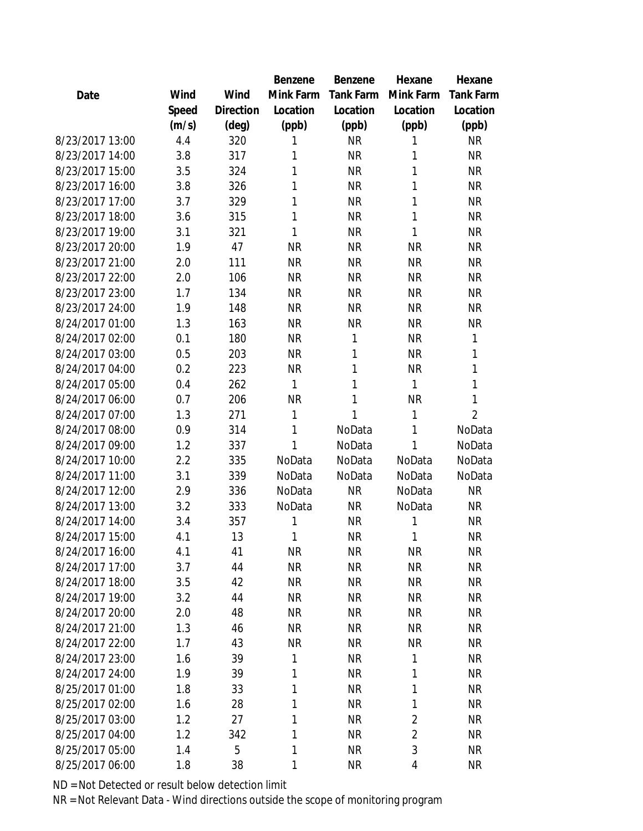|                 |       |           | Benzene   | <b>Benzene</b> | Hexane         | Hexane         |
|-----------------|-------|-----------|-----------|----------------|----------------|----------------|
| Date            | Wind  | Wind      | Mink Farm | Tank Farm      | Mink Farm      | Tank Farm      |
|                 | Speed | Direction | Location  | Location       | Location       | Location       |
|                 | (m/s) | (deg)     | (ppb)     | (ppb)          | (ppb)          | (ppb)          |
| 8/23/2017 13:00 | 4.4   | 320       | 1         | <b>NR</b>      | 1              | <b>NR</b>      |
| 8/23/2017 14:00 | 3.8   | 317       | 1         | <b>NR</b>      | 1              | <b>NR</b>      |
| 8/23/2017 15:00 | 3.5   | 324       | 1         | <b>NR</b>      | 1              | <b>NR</b>      |
| 8/23/2017 16:00 | 3.8   | 326       | 1         | <b>NR</b>      | 1              | <b>NR</b>      |
| 8/23/2017 17:00 | 3.7   | 329       | 1         | <b>NR</b>      | 1              | <b>NR</b>      |
| 8/23/2017 18:00 | 3.6   | 315       | 1         | <b>NR</b>      | 1              | <b>NR</b>      |
| 8/23/2017 19:00 | 3.1   | 321       | 1         | <b>NR</b>      | 1              | <b>NR</b>      |
| 8/23/2017 20:00 | 1.9   | 47        | <b>NR</b> | <b>NR</b>      | <b>NR</b>      | <b>NR</b>      |
| 8/23/2017 21:00 | 2.0   | 111       | <b>NR</b> | <b>NR</b>      | <b>NR</b>      | <b>NR</b>      |
| 8/23/2017 22:00 | 2.0   | 106       | <b>NR</b> | <b>NR</b>      | <b>NR</b>      | <b>NR</b>      |
| 8/23/2017 23:00 | 1.7   | 134       | <b>NR</b> | <b>NR</b>      | <b>NR</b>      | <b>NR</b>      |
| 8/23/2017 24:00 | 1.9   | 148       | <b>NR</b> | <b>NR</b>      | <b>NR</b>      | <b>NR</b>      |
| 8/24/2017 01:00 | 1.3   | 163       | <b>NR</b> | <b>NR</b>      | <b>NR</b>      | <b>NR</b>      |
| 8/24/2017 02:00 | 0.1   | 180       | <b>NR</b> | 1              | <b>NR</b>      | 1              |
| 8/24/2017 03:00 | 0.5   | 203       | <b>NR</b> | 1              | <b>NR</b>      | 1              |
| 8/24/2017 04:00 | 0.2   | 223       | <b>NR</b> | 1              | <b>NR</b>      | 1              |
| 8/24/2017 05:00 | 0.4   | 262       | 1         | 1              | 1              | 1              |
| 8/24/2017 06:00 | 0.7   | 206       | <b>NR</b> | 1              | <b>NR</b>      | 1              |
| 8/24/2017 07:00 | 1.3   | 271       | 1         | 1              | 1              | $\overline{2}$ |
| 8/24/2017 08:00 | 0.9   | 314       | 1         | NoData         | 1              | NoData         |
| 8/24/2017 09:00 | 1.2   | 337       | 1         | NoData         | $\mathbf{1}$   | NoData         |
| 8/24/2017 10:00 | 2.2   | 335       | NoData    | NoData         | NoData         | NoData         |
| 8/24/2017 11:00 | 3.1   | 339       | NoData    | NoData         | NoData         | NoData         |
| 8/24/2017 12:00 | 2.9   | 336       | NoData    | <b>NR</b>      | NoData         | <b>NR</b>      |
| 8/24/2017 13:00 | 3.2   | 333       | NoData    | <b>NR</b>      | NoData         | <b>NR</b>      |
| 8/24/2017 14:00 | 3.4   | 357       | 1         | <b>NR</b>      | 1              | <b>NR</b>      |
| 8/24/2017 15:00 | 4.1   | 13        | 1         | <b>NR</b>      | 1              | <b>NR</b>      |
| 8/24/2017 16:00 | 4.1   | 41        | <b>NR</b> | <b>NR</b>      | <b>NR</b>      | NR             |
| 8/24/2017 17:00 | 3.7   | 44        | <b>NR</b> | <b>NR</b>      | <b>NR</b>      | <b>NR</b>      |
| 8/24/2017 18:00 | 3.5   | 42        | <b>NR</b> | <b>NR</b>      | <b>NR</b>      | <b>NR</b>      |
| 8/24/2017 19:00 | 3.2   | 44        | <b>NR</b> | <b>NR</b>      | <b>NR</b>      | <b>NR</b>      |
| 8/24/2017 20:00 | 2.0   | 48        | <b>NR</b> | <b>NR</b>      | <b>NR</b>      | <b>NR</b>      |
| 8/24/2017 21:00 | 1.3   | 46        | <b>NR</b> | <b>NR</b>      | <b>NR</b>      | <b>NR</b>      |
| 8/24/2017 22:00 | 1.7   | 43        | <b>NR</b> | <b>NR</b>      | <b>NR</b>      | <b>NR</b>      |
| 8/24/2017 23:00 | 1.6   | 39        | 1         | <b>NR</b>      | 1              | <b>NR</b>      |
| 8/24/2017 24:00 | 1.9   | 39        | 1         | <b>NR</b>      | 1              | <b>NR</b>      |
| 8/25/2017 01:00 | 1.8   | 33        | 1         | <b>NR</b>      | 1              | <b>NR</b>      |
| 8/25/2017 02:00 | 1.6   | 28        | 1         | <b>NR</b>      | 1              | <b>NR</b>      |
| 8/25/2017 03:00 | 1.2   | 27        | 1         | <b>NR</b>      | $\overline{2}$ | <b>NR</b>      |
| 8/25/2017 04:00 | 1.2   | 342       | 1         | <b>NR</b>      | $\overline{2}$ | <b>NR</b>      |
| 8/25/2017 05:00 | 1.4   | 5         | 1         | <b>NR</b>      | 3              | <b>NR</b>      |
| 8/25/2017 06:00 | 1.8   | 38        | 1         | <b>NR</b>      | 4              | NR             |